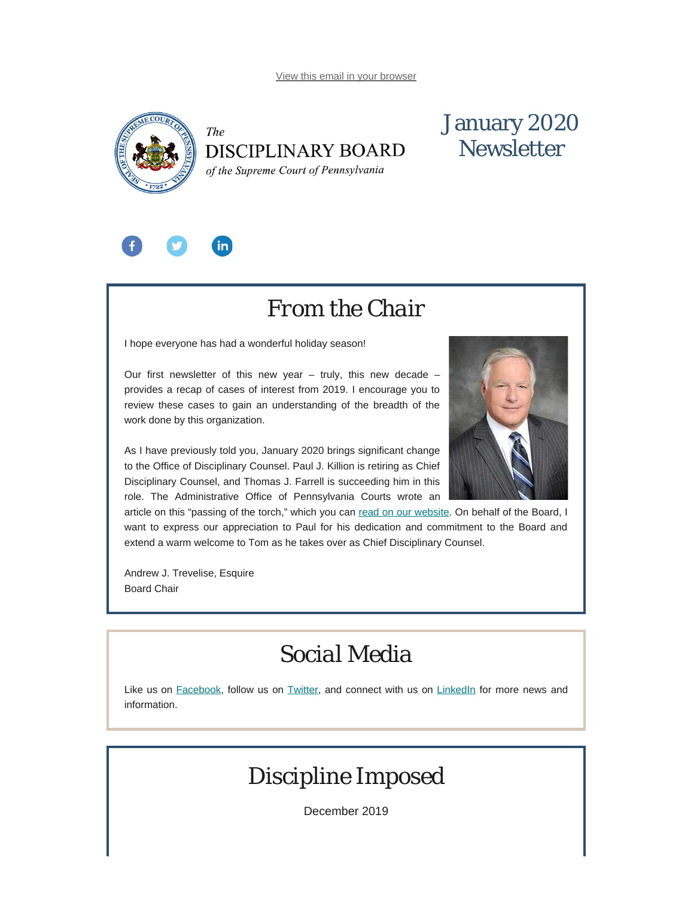<span id="page-0-0"></span>

# The **DISCIPLINARY BOARD**

# January 2020 **Newsletter**

of the Supreme Court of Pennsylvania



# *From the Chair*

I hope everyone has had a wonderful holiday season!

Our first newsletter of this new year  $-$  truly, this new decade  $$ provides a recap of cases of interest from 2019. I encourage you to review these cases to gain an understanding of the breadth of the work done by this organization.

As I have previously told you, January 2020 brings significant change to the Office of Disciplinary Counsel. Paul J. Killion is retiring as Chief Disciplinary Counsel, and Thomas J. Farrell is succeeding him in this role. The Administrative Office of Pennsylvania Courts wrote an

article on this "passing of the torch," which you can [read on our website](https://www.padisciplinaryboard.org/news-media/news-article/1196/paul-j-killion-chief-disciplinary-counsel-retires). On behalf of the Board, I want to express our appreciation to Paul for his dedication and commitment to the Board and extend a warm welcome to Tom as he takes over as Chief Disciplinary Counsel.

Andrew J. Trevelise, Esquire Board Chair

# *Social Media*

Like us on [Facebook](https://www.facebook.com/DBoardPA), follow us on [Twitter,](https://twitter.com/DBoardPa) and connect with us on [LinkedIn](https://www.linkedin.com/company/pennsylvania-disciplinary-board/) for more news and information.

# *Discipline Imposed*

December 2019

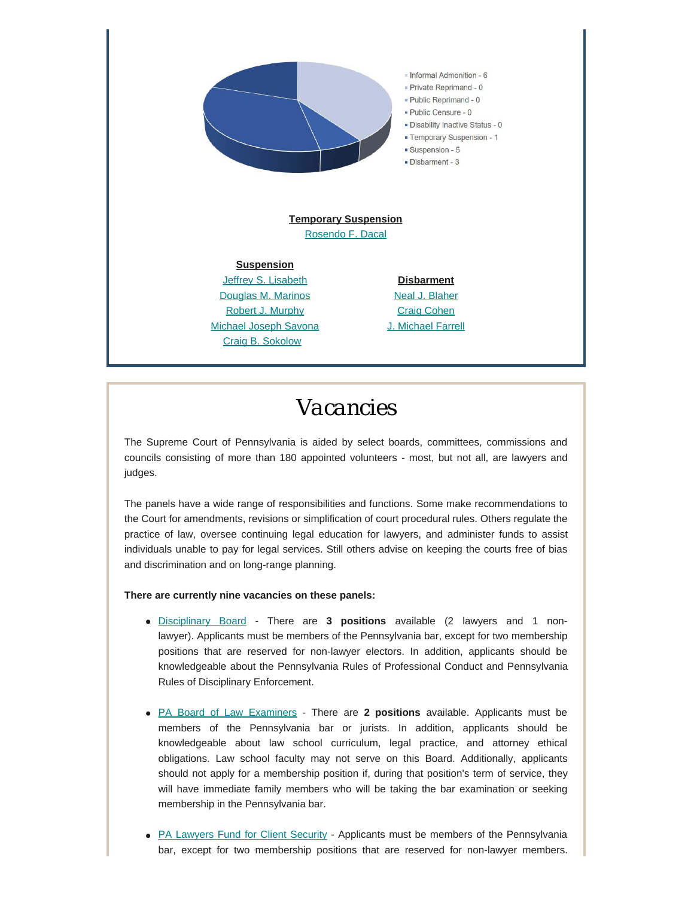

# *Vacancies*

The Supreme Court of Pennsylvania is aided by select boards, committees, commissions and councils consisting of more than 180 appointed volunteers - most, but not all, are lawyers and judges.

The panels have a wide range of responsibilities and functions. Some make recommendations to the Court for amendments, revisions or simplification of court procedural rules. Others regulate the practice of law, oversee continuing legal education for lawyers, and administer funds to assist individuals unable to pay for legal services. Still others advise on keeping the courts free of bias and discrimination and on long-range planning.

### **There are currently nine vacancies on these panels:**

- [Disciplinary Board](http://www.pacourts.us/courts/supreme-court/committees/membership-requirements-for-the-disciplinary-board) There are **3 positions** available (2 lawyers and 1 nonlawyer). Applicants must be members of the Pennsylvania bar, except for two membership positions that are reserved for non-lawyer electors. In addition, applicants should be knowledgeable about the Pennsylvania Rules of Professional Conduct and Pennsylvania Rules of Disciplinary Enforcement.
- [PA Board of Law Examiners](http://www.pacourts.us/courts/supreme-court/committees/membership-requirements-for-the-board-of-law-examiners) There are **2 positions** available. Applicants must be members of the Pennsylvania bar or jurists. In addition, applicants should be knowledgeable about law school curriculum, legal practice, and attorney ethical obligations. Law school faculty may not serve on this Board. Additionally, applicants should not apply for a membership position if, during that position's term of service, they will have immediate family members who will be taking the bar examination or seeking membership in the Pennsylvania bar.
- [PA Lawyers Fund for Client Security](http://www.pacourts.us/courts/supreme-court/committees/membership-requirements-for-the-pennsylvania-lawyers-fund-for-client-security-board)  Applicants must be members of the Pennsylvania bar, except for two membership positions that are reserved for non-lawyer members.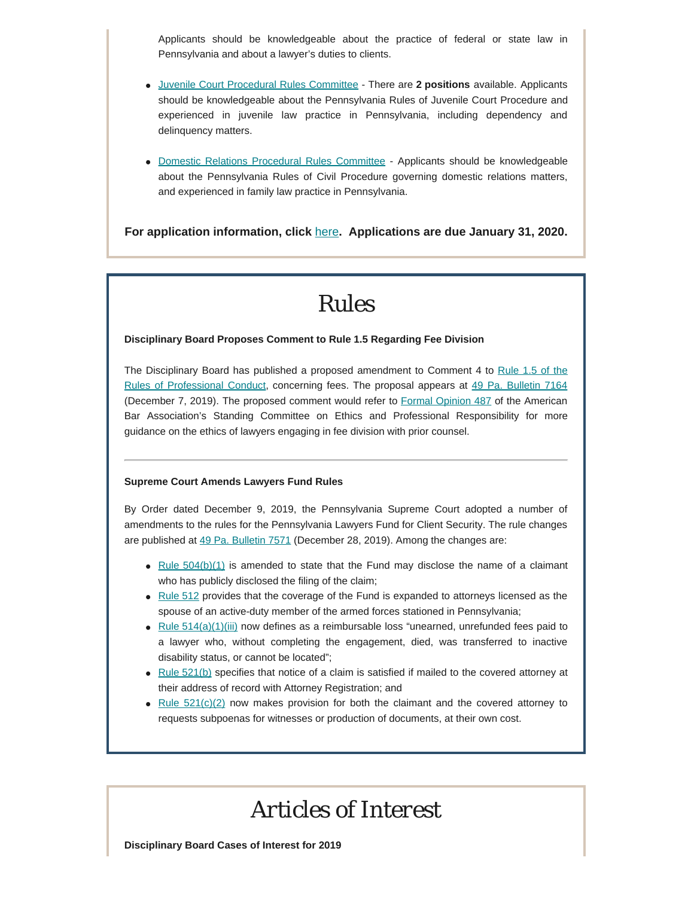Applicants should be knowledgeable about the practice of federal or state law in Pennsylvania and about a lawyer's duties to clients.

- [Juvenile Court Procedural Rules Committee](http://www.pacourts.us/courts/supreme-court/committees/membership-requirements-for-the-juvenile-court-procedural-rules-committee) There are **2 positions** available. Applicants should be knowledgeable about the Pennsylvania Rules of Juvenile Court Procedure and experienced in juvenile law practice in Pennsylvania, including dependency and delinquency matters.
- [Domestic Relations Procedural Rules Committee](http://www.pacourts.us/courts/supreme-court/committees/membership-requirements-for-the-domestic-relations-procedural-rules-committee) Applicants should be knowledgeable about the Pennsylvania Rules of Civil Procedure governing domestic relations matters, and experienced in family law practice in Pennsylvania.

**For application information, click** [here](http://www.pacourts.us/courts/supreme-court/committees/)**. Applications are due January 31, 2020.**

# *Rules*

### **Disciplinary Board Proposes Comment to Rule 1.5 Regarding Fee Division**

The Disciplinary Board has published a proposed amendment to Comment 4 to [Rule 1.5 of the](https://www.pacodeandbulletin.gov/Display/pacode?file=/secure/pacode/data/204/chapter81/chap81toc.html&d=reduce#1.5.) [Rules of Professional Conduct,](https://www.pacodeandbulletin.gov/Display/pacode?file=/secure/pacode/data/204/chapter81/chap81toc.html&d=reduce#1.5.) concerning fees. The proposal appears at [49 Pa. Bulletin 7164](https://www.pacodeandbulletin.gov/Display/pabull?file=/secure/pabulletin/data/vol49/49-49/1802.html) (December 7, 2019). The proposed comment would refer to [Formal Opinion 487](https://www.americanbar.org/content/dam/aba/images/news/2019/06/FormalOpinion487.pdf) of the American Bar Association's Standing Committee on Ethics and Professional Responsibility for more guidance on the ethics of lawyers engaging in fee division with prior counsel.

### **Supreme Court Amends Lawyers Fund Rules**

By Order dated December 9, 2019, the Pennsylvania Supreme Court adopted a number of amendments to the rules for the Pennsylvania Lawyers Fund for Client Security. The rule changes are published at [49 Pa. Bulletin 7571](https://www.pacodeandbulletin.gov/Display/pabull?file=/secure/pabulletin/data/vol49/49-52/1936.html) (December 28, 2019). Among the changes are:

- Rule  $504(b)(1)$  is amended to state that the Fund may disclose the name of a claimant who has publicly disclosed the filing of the claim;
- [Rule 512](https://www.pacodeandbulletin.gov/Display/pacode?file=/secure/pacode/data/204/chapter83/s512.html&d=reduce) provides that the coverage of the Fund is expanded to attorneys licensed as the spouse of an active-duty member of the armed forces stationed in Pennsylvania;
- Rule  $514(a)(1)$ (iii) now defines as a reimbursable loss "unearned, unrefunded fees paid to a lawyer who, without completing the engagement, died, was transferred to inactive disability status, or cannot be located";
- $\blacktriangleright$  [Rule 521\(b\)](https://www.pacodeandbulletin.gov/Display/pacode?file=/secure/pacode/data/204/chapter83/s521.html&d=reduce) specifies that notice of a claim is satisfied if mailed to the covered attorney at their address of record with Attorney Registration; and
- Rule  $521(c)(2)$  now makes provision for both the claimant and the covered attorney to requests subpoenas for witnesses or production of documents, at their own cost.

# *Articles of Interest*

**Disciplinary Board Cases of Interest for 2019**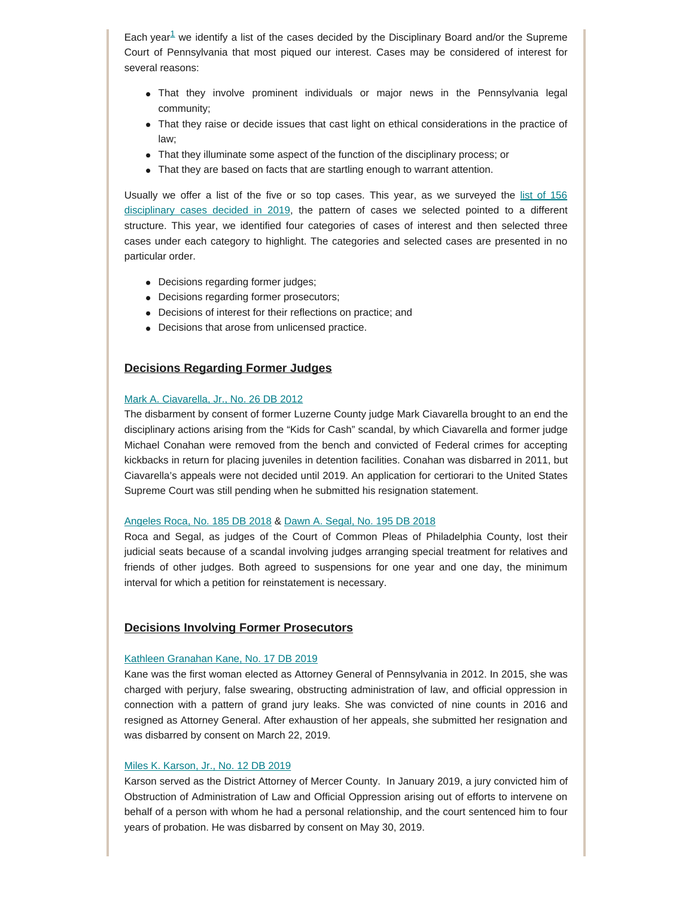Each year<sup>[1](#page-6-0)</sup> we identify a list of the cases decided by the Disciplinary Board and/or the Supreme Court of Pennsylvania that most piqued our interest. Cases may be considered of interest for several reasons:

- That they involve prominent individuals or major news in the Pennsylvania legal community;
- That they raise or decide issues that cast light on ethical considerations in the practice of law;
- That they illuminate some aspect of the function of the disciplinary process; or
- That they are based on facts that are startling enough to warrant attention.

Usually we offer a list of the five or so top cases. This year, as we surveyed the [list of 156](https://www.padisciplinaryboard.org/for-the-public/search-recent-discipline) [disciplinary cases decided in 2019](https://www.padisciplinaryboard.org/for-the-public/search-recent-discipline), the pattern of cases we selected pointed to a different structure. This year, we identified four categories of cases of interest and then selected three cases under each category to highlight. The categories and selected cases are presented in no particular order.

- Decisions regarding former judges;
- Decisions regarding former prosecutors;
- Decisions of interest for their reflections on practice; and
- Decisions that arose from unlicensed practice.

## **Decisions Regarding Former Judges**

#### [Mark A. Ciavarella, Jr., No. 26 DB 2012](http://www.pacourts.us/assets/opinions/DisciplinaryBoard/out/26DB2012-Ciavarella,%20Jr..pdf)

The disbarment by consent of former Luzerne County judge Mark Ciavarella brought to an end the disciplinary actions arising from the "Kids for Cash" scandal, by which Ciavarella and former judge Michael Conahan were removed from the bench and convicted of Federal crimes for accepting kickbacks in return for placing juveniles in detention facilities. Conahan was disbarred in 2011, but Ciavarella's appeals were not decided until 2019. An application for certiorari to the United States Supreme Court was still pending when he submitted his resignation statement.

#### [Angeles Roca, No. 185 DB 2018](http://www.pacourts.us/assets/opinions/DisciplinaryBoard/out/185DB2018-Roca.pdf) & [Dawn A. Segal, No. 195 DB 2018](http://www.pacourts.us/assets/opinions/DisciplinaryBoard/out/195DB2018-Segal.pdf)

Roca and Segal, as judges of the Court of Common Pleas of Philadelphia County, lost their judicial seats because of a scandal involving judges arranging special treatment for relatives and friends of other judges. Both agreed to suspensions for one year and one day, the minimum interval for which a petition for reinstatement is necessary.

### **Decisions Involving Former Prosecutors**

#### [Kathleen Granahan Kane, No. 17 DB 2019](http://www.pacourts.us/assets/opinions/DisciplinaryBoard/out/17DB2019-Kane.pdf)

Kane was the first woman elected as Attorney General of Pennsylvania in 2012. In 2015, she was charged with perjury, false swearing, obstructing administration of law, and official oppression in connection with a pattern of grand jury leaks. She was convicted of nine counts in 2016 and resigned as Attorney General. After exhaustion of her appeals, she submitted her resignation and was disbarred by consent on March 22, 2019.

#### [Miles K. Karson, Jr., No. 12 DB 2019](http://www.pacourts.us/assets/opinions/DisciplinaryBoard/out/12DB2019-Karson.pdf)

Karson served as the District Attorney of Mercer County. In January 2019, a jury convicted him of Obstruction of Administration of Law and Official Oppression arising out of efforts to intervene on behalf of a person with whom he had a personal relationship, and the court sentenced him to four years of probation. He was disbarred by consent on May 30, 2019.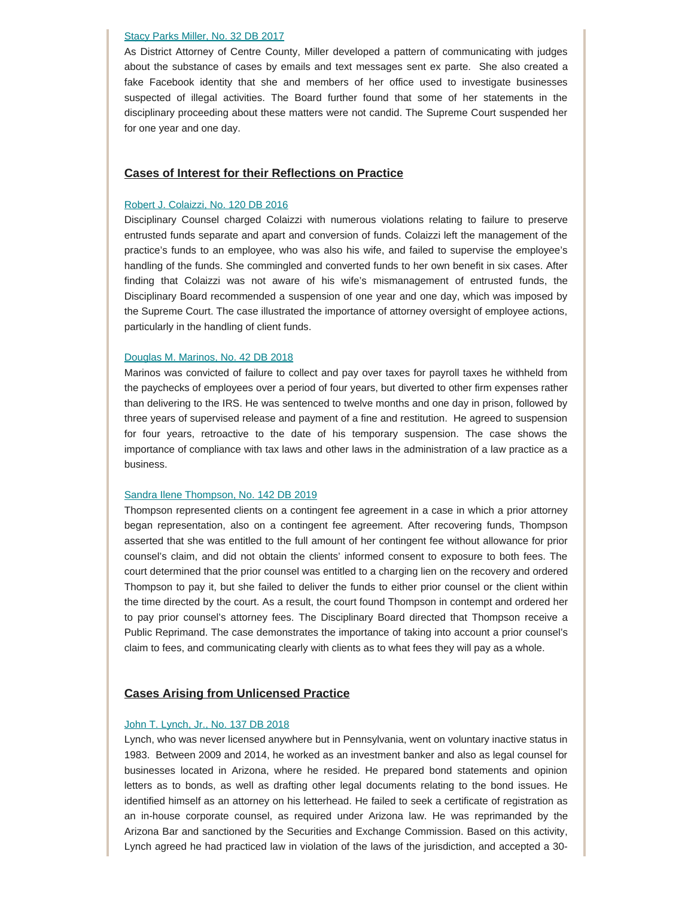#### [Stacy Parks Miller, No. 32 DB 2017](http://www.pacourts.us/assets/opinions/DisciplinaryBoard/out/32DB2017-Miller.pdf)

As District Attorney of Centre County, Miller developed a pattern of communicating with judges about the substance of cases by emails and text messages sent ex parte. She also created a fake Facebook identity that she and members of her office used to investigate businesses suspected of illegal activities. The Board further found that some of her statements in the disciplinary proceeding about these matters were not candid. The Supreme Court suspended her for one year and one day.

### **Cases of Interest for their Reflections on Practice**

### [Robert J. Colaizzi, No. 120 DB 2016](http://www.pacourts.us/assets/opinions/DisciplinaryBoard/out/120DB2016-Colaizzi.pdf)

Disciplinary Counsel charged Colaizzi with numerous violations relating to failure to preserve entrusted funds separate and apart and conversion of funds. Colaizzi left the management of the practice's funds to an employee, who was also his wife, and failed to supervise the employee's handling of the funds. She commingled and converted funds to her own benefit in six cases. After finding that Colaizzi was not aware of his wife's mismanagement of entrusted funds, the Disciplinary Board recommended a suspension of one year and one day, which was imposed by the Supreme Court. The case illustrated the importance of attorney oversight of employee actions, particularly in the handling of client funds.

#### [Douglas M. Marinos, No. 42 DB 2018](http://www.pacourts.us/assets/opinions/DisciplinaryBoard/out/42DB2018-Marinos.pdf)

Marinos was convicted of failure to collect and pay over taxes for payroll taxes he withheld from the paychecks of employees over a period of four years, but diverted to other firm expenses rather than delivering to the IRS. He was sentenced to twelve months and one day in prison, followed by three years of supervised release and payment of a fine and restitution. He agreed to suspension for four years, retroactive to the date of his temporary suspension. The case shows the importance of compliance with tax laws and other laws in the administration of a law practice as a business.

#### [Sandra Ilene Thompson, No. 142 DB 2019](http://www.pacourts.us/assets/opinions/DisciplinaryBoard/out/142DB2019-Thompson.pdf)

Thompson represented clients on a contingent fee agreement in a case in which a prior attorney began representation, also on a contingent fee agreement. After recovering funds, Thompson asserted that she was entitled to the full amount of her contingent fee without allowance for prior counsel's claim, and did not obtain the clients' informed consent to exposure to both fees. The court determined that the prior counsel was entitled to a charging lien on the recovery and ordered Thompson to pay it, but she failed to deliver the funds to either prior counsel or the client within the time directed by the court. As a result, the court found Thompson in contempt and ordered her to pay prior counsel's attorney fees. The Disciplinary Board directed that Thompson receive a Public Reprimand. The case demonstrates the importance of taking into account a prior counsel's claim to fees, and communicating clearly with clients as to what fees they will pay as a whole.

### **Cases Arising from Unlicensed Practice**

#### [John T. Lynch, Jr., No. 137 DB 2018](http://www.pacourts.us/assets/opinions/DisciplinaryBoard/out/137DB2018-Lynch.pdf)

Lynch, who was never licensed anywhere but in Pennsylvania, went on voluntary inactive status in 1983. Between 2009 and 2014, he worked as an investment banker and also as legal counsel for businesses located in Arizona, where he resided. He prepared bond statements and opinion letters as to bonds, as well as drafting other legal documents relating to the bond issues. He identified himself as an attorney on his letterhead. He failed to seek a certificate of registration as an in-house corporate counsel, as required under Arizona law. He was reprimanded by the Arizona Bar and sanctioned by the Securities and Exchange Commission. Based on this activity, Lynch agreed he had practiced law in violation of the laws of the jurisdiction, and accepted a 30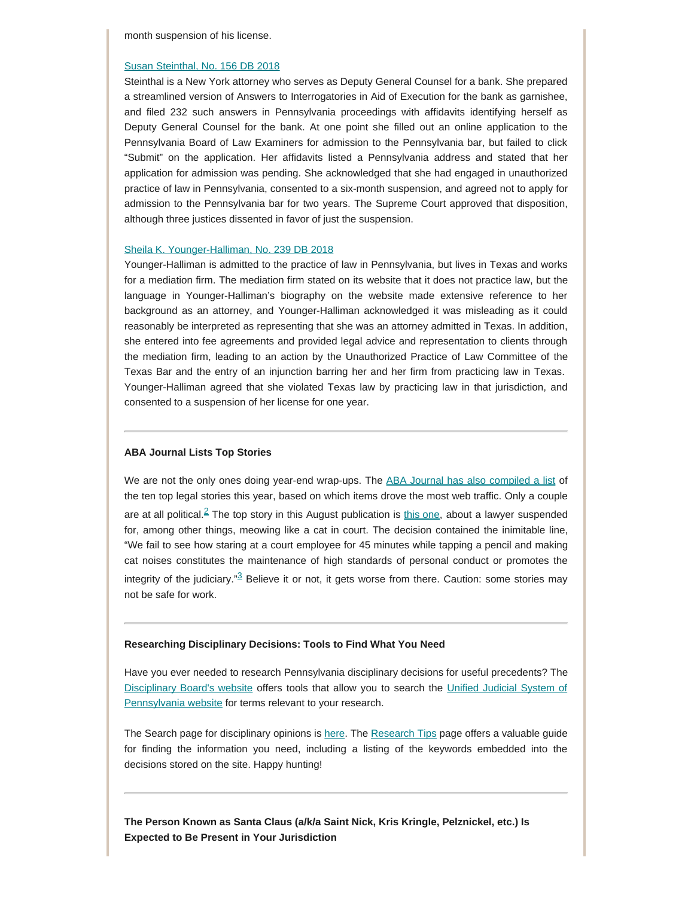month suspension of his license.

#### [Susan Steinthal, No. 156 DB 2018](http://www.pacourts.us/assets/opinions/DisciplinaryBoard/out/156DB2018-Steinthal.pdf)

Steinthal is a New York attorney who serves as Deputy General Counsel for a bank. She prepared a streamlined version of Answers to Interrogatories in Aid of Execution for the bank as garnishee, and filed 232 such answers in Pennsylvania proceedings with affidavits identifying herself as Deputy General Counsel for the bank. At one point she filled out an online application to the Pennsylvania Board of Law Examiners for admission to the Pennsylvania bar, but failed to click "Submit" on the application. Her affidavits listed a Pennsylvania address and stated that her application for admission was pending. She acknowledged that she had engaged in unauthorized practice of law in Pennsylvania, consented to a six-month suspension, and agreed not to apply for admission to the Pennsylvania bar for two years. The Supreme Court approved that disposition, although three justices dissented in favor of just the suspension.

#### [Sheila K. Younger-Halliman, No. 239 DB 2018](http://www.pacourts.us/assets/opinions/DisciplinaryBoard/out/239DB2018-YoungerHalliman.pdf)

Younger-Halliman is admitted to the practice of law in Pennsylvania, but lives in Texas and works for a mediation firm. The mediation firm stated on its website that it does not practice law, but the language in Younger-Halliman's biography on the website made extensive reference to her background as an attorney, and Younger-Halliman acknowledged it was misleading as it could reasonably be interpreted as representing that she was an attorney admitted in Texas. In addition, she entered into fee agreements and provided legal advice and representation to clients through the mediation firm, leading to an action by the Unauthorized Practice of Law Committee of the Texas Bar and the entry of an injunction barring her and her firm from practicing law in Texas. Younger-Halliman agreed that she violated Texas law by practicing law in that jurisdiction, and consented to a suspension of her license for one year.

### **ABA Journal Lists Top Stories**

<span id="page-5-0"></span>We are not the only ones doing year-end wrap-ups. The [ABA Journal has also compiled a list](http://www.abajournal.com/news/article/top-10-news-stories-of-2019) of the ten top legal stories this year, based on which items drove the most web traffic. Only a couple are at all political. $\frac{2}{3}$  $\frac{2}{3}$  $\frac{2}{3}$  The top story in this August publication is [this one,](http://www.abajournal.com/news/article/brendan-dasseys-meowing-former-lawyer-is-suspended-from-the-bench) about a lawyer suspended for, among other things, meowing like a cat in court. The decision contained the inimitable line, "We fail to see how staring at a court employee for 45 minutes while tapping a pencil and making cat noises constitutes the maintenance of high standards of personal conduct or promotes the integrity of the judiciary." $3$  Believe it or not, it gets worse from there. Caution: some stories may not be safe for work.

#### <span id="page-5-1"></span>**Researching Disciplinary Decisions: Tools to Find What You Need**

Have you ever needed to research Pennsylvania disciplinary decisions for useful precedents? The [Disciplinary Board's](https://www.padisciplinaryboard.org/) website offers tools that allow you to search the [Unified Judicial System of](http://www.pacourts.us/courts/supreme-court/committees/supreme-court-boards/disciplinary-board-opinions/) [Pennsylvania website](http://www.pacourts.us/courts/supreme-court/committees/supreme-court-boards/disciplinary-board-opinions/) for terms relevant to your research.

The Search page for disciplinary opinions is [here](https://www.padisciplinaryboard.org/for-attorneys/opinions). The [Research Tips](http://198.8.33.167/Storage/media/pdfs/20191112/153021-researchtipsforujssearchsite.pdf) page offers a valuable guide for finding the information you need, including a listing of the keywords embedded into the decisions stored on the site. Happy hunting!

**The Person Known as Santa Claus (a/k/a Saint Nick, Kris Kringle, Pelznickel, etc.) Is Expected to Be Present in Your Jurisdiction**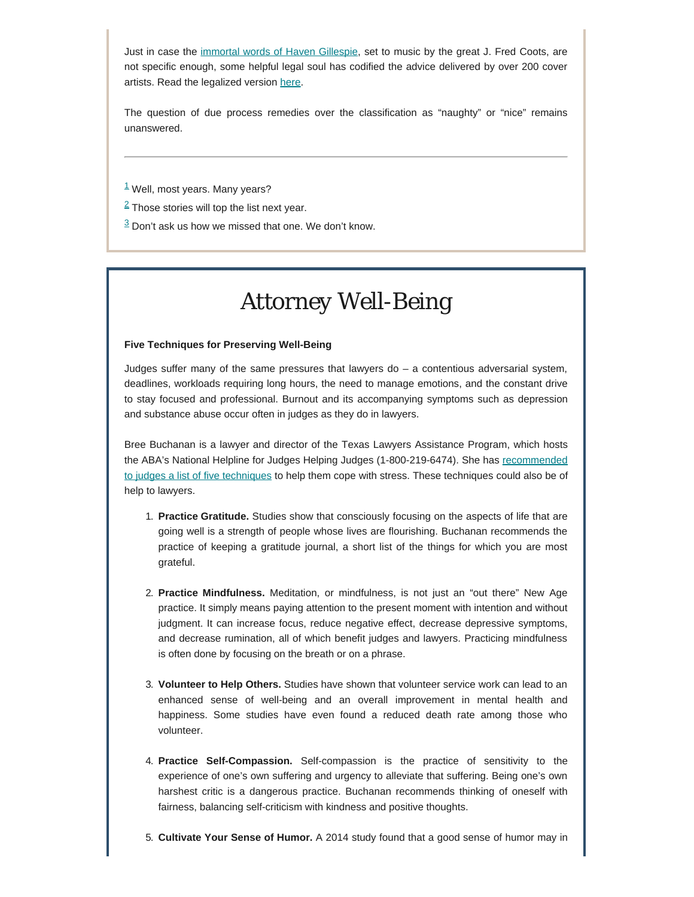Just in case the [immortal words of Haven Gillespie,](https://en.wikipedia.org/wiki/Santa_Claus_Is_Comin%27_to_Town) set to music by the great J. Fred Coots, are not specific enough, some helpful legal soul has codified the advice delivered by over 200 cover artists. Read the legalized version [here](https://abovethelaw.com/2019/12/explaining-christmas-to-lawyers/).

The question of due process remedies over the classification as "naughty" or "nice" remains unanswered.

<span id="page-6-0"></span> $1$  Well, most years. Many years?

<span id="page-6-1"></span> $2$  Those stories will top the list next year.

 $\frac{3}{2}$  Don't ask us how we missed that one. We don't know.

# *Attorney Well-Being*

### **Five Techniques for Preserving Well-Being**

Judges suffer many of the same pressures that lawyers do – a contentious adversarial system, deadlines, workloads requiring long hours, the need to manage emotions, and the constant drive to stay focused and professional. Burnout and its accompanying symptoms such as depression and substance abuse occur often in judges as they do in lawyers.

Bree Buchanan is a lawyer and director of the Texas Lawyers Assistance Program, which hosts the ABA's National Helpline for Judges Helping Judges (1-800-219-6474). She has [recommended](https://judicialstudies.duke.edu/wp-content/uploads/2018/01/JUDICATURE101.4-buchanan.pdf) [to judges a list of five techniques](https://judicialstudies.duke.edu/wp-content/uploads/2018/01/JUDICATURE101.4-buchanan.pdf) to help them cope with stress. These techniques could also be of help to lawyers.

- 1. **Practice Gratitude.** Studies show that consciously focusing on the aspects of life that are going well is a strength of people whose lives are flourishing. Buchanan recommends the practice of keeping a gratitude journal, a short list of the things for which you are most grateful.
- 2. **Practice Mindfulness.** Meditation, or mindfulness, is not just an "out there" New Age practice. It simply means paying attention to the present moment with intention and without judgment. It can increase focus, reduce negative effect, decrease depressive symptoms, and decrease rumination, all of which benefit judges and lawyers. Practicing mindfulness is often done by focusing on the breath or on a phrase.
- 3. **Volunteer to Help Others.** Studies have shown that volunteer service work can lead to an enhanced sense of well-being and an overall improvement in mental health and happiness. Some studies have even found a reduced death rate among those who volunteer.
- 4. **Practice Self-Compassion.** Self-compassion is the practice of sensitivity to the experience of one's own suffering and urgency to alleviate that suffering. Being one's own harshest critic is a dangerous practice. Buchanan recommends thinking of oneself with fairness, balancing self-criticism with kindness and positive thoughts.
- 5. **Cultivate Your Sense of Humor.** A 2014 study found that a good sense of humor may in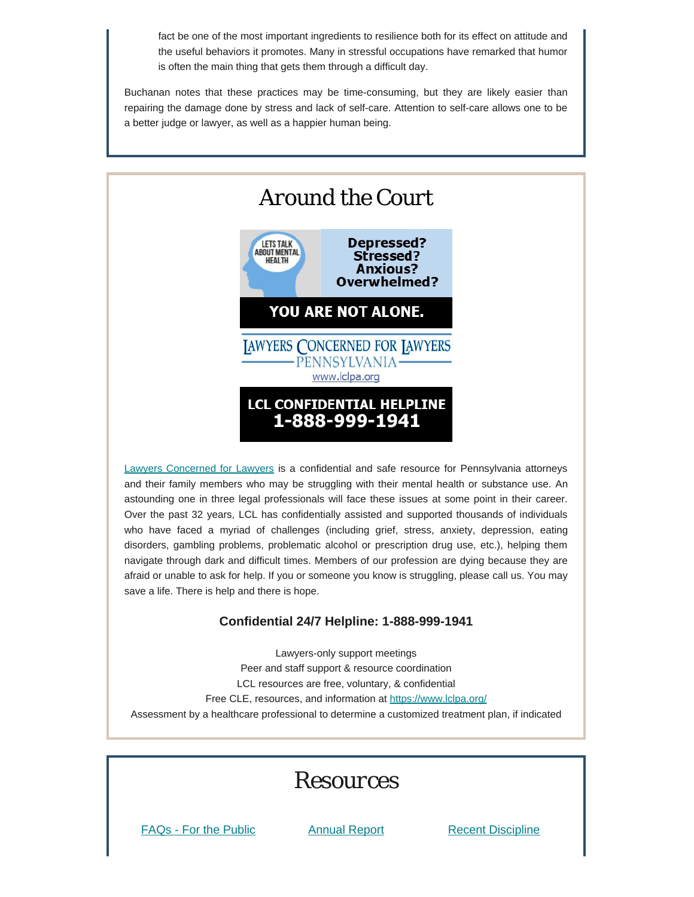fact be one of the most important ingredients to resilience both for its effect on attitude and the useful behaviors it promotes. Many in stressful occupations have remarked that humor is often the main thing that gets them through a difficult day.

Buchanan notes that these practices may be time-consuming, but they are likely easier than repairing the damage done by stress and lack of self-care. Attention to self-care allows one to be a better judge or lawyer, as well as a happier human being.



[Lawyers Concerned for Lawyers](https://www.lclpa.org/) is a confidential and safe resource for Pennsylvania attorneys and their family members who may be struggling with their mental health or substance use. An astounding one in three legal professionals will face these issues at some point in their career. Over the past 32 years, LCL has confidentially assisted and supported thousands of individuals who have faced a myriad of challenges (including grief, stress, anxiety, depression, eating disorders, gambling problems, problematic alcohol or prescription drug use, etc.), helping them navigate through dark and difficult times. Members of our profession are dying because they are afraid or unable to ask for help. If you or someone you know is struggling, please call us. You may save a life. There is help and there is hope.

# **Confidential 24/7 Helpline: 1-888-999-1941**

Lawyers-only support meetings Peer and staff support & resource coordination LCL resources are free, voluntary, & confidential Free CLE, resources, and information at <https://www.lclpa.org/> Assessment by a healthcare professional to determine a customized treatment plan, if indicated

# *Resources*

[FAQs - For the Public](https://www.padisciplinaryboard.org/for-the-public/resources) [Annual Report](https://www.padisciplinaryboard.org/about/reports) [Recent Discipline](https://www.padisciplinaryboard.org/for-the-public/search-recent-discipline)